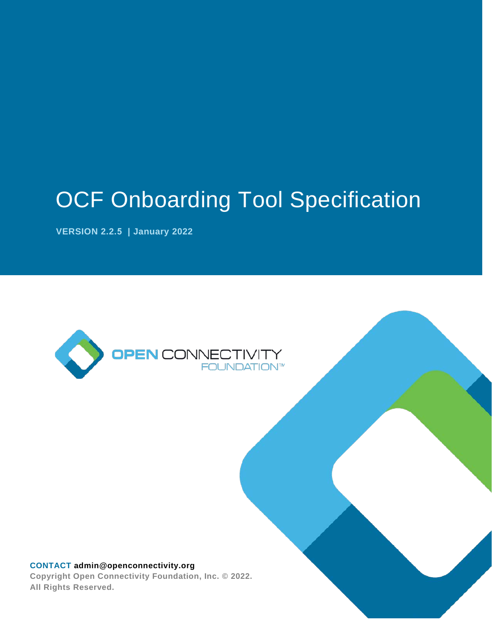# OCF Onboarding Tool Specification

**VERSION 2.2.5 | January 2022** 



# **CONTACT [admin@openconnectivity.org](mailto:admin@openconnectivity.org) Copyright Open Connectivity Foundation, Inc. © 2022.**

**All Rights Reserved.**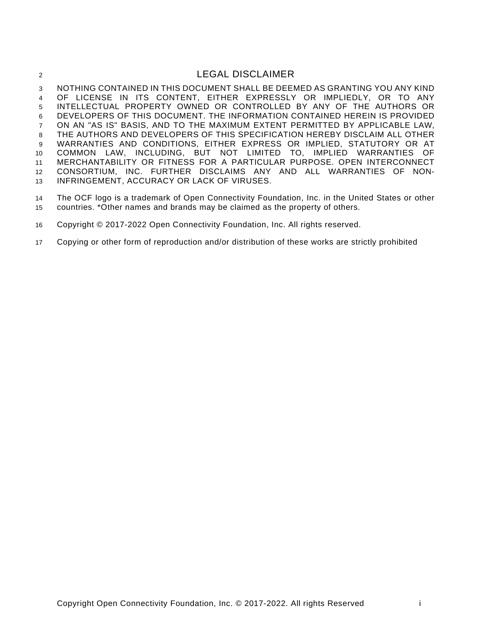# 2 LEGAL DISCLAIMER

 NOTHING CONTAINED IN THIS DOCUMENT SHALL BE DEEMED AS GRANTING YOU ANY KIND OF LICENSE IN ITS CONTENT, EITHER EXPRESSLY OR IMPLIEDLY, OR TO ANY INTELLECTUAL PROPERTY OWNED OR CONTROLLED BY ANY OF THE AUTHORS OR DEVELOPERS OF THIS DOCUMENT. THE INFORMATION CONTAINED HEREIN IS PROVIDED ON AN "AS IS" BASIS, AND TO THE MAXIMUM EXTENT PERMITTED BY APPLICABLE LAW, THE AUTHORS AND DEVELOPERS OF THIS SPECIFICATION HEREBY DISCLAIM ALL OTHER WARRANTIES AND CONDITIONS, EITHER EXPRESS OR IMPLIED, STATUTORY OR AT COMMON LAW, INCLUDING, BUT NOT LIMITED TO, IMPLIED WARRANTIES OF MERCHANTABILITY OR FITNESS FOR A PARTICULAR PURPOSE. OPEN INTERCONNECT CONSORTIUM, INC. FURTHER DISCLAIMS ANY AND ALL WARRANTIES OF NON-INFRINGEMENT, ACCURACY OR LACK OF VIRUSES.

 The OCF logo is a trademark of Open Connectivity Foundation, Inc. in the United States or other countries. \*Other names and brands may be claimed as the property of others.

Copyright © 2017-2022 Open Connectivity Foundation, Inc. All rights reserved.

Copying or other form of reproduction and/or distribution of these works are strictly prohibited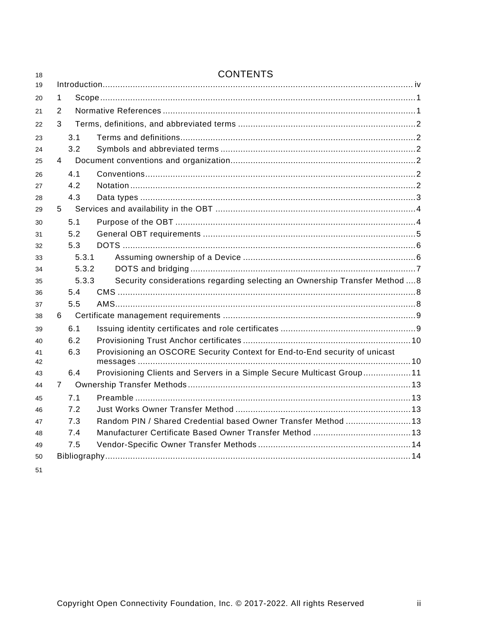| 18       |                | <b>CONTENTS</b> |                                                                             |  |  |  |
|----------|----------------|-----------------|-----------------------------------------------------------------------------|--|--|--|
| 19       |                |                 |                                                                             |  |  |  |
| 20       | 1              |                 |                                                                             |  |  |  |
| 21       | $\overline{2}$ |                 |                                                                             |  |  |  |
| 22       | 3              |                 |                                                                             |  |  |  |
| 23       |                | 3.1             |                                                                             |  |  |  |
| 24       |                | 3.2             |                                                                             |  |  |  |
| 25       | 4              |                 |                                                                             |  |  |  |
| 26       |                | 4.1             |                                                                             |  |  |  |
| 27       |                | 4.2             |                                                                             |  |  |  |
| 28       |                | 4.3             |                                                                             |  |  |  |
| 29       | 5              |                 |                                                                             |  |  |  |
| 30       |                | 5.1             |                                                                             |  |  |  |
| 31       |                | 5.2             |                                                                             |  |  |  |
| 32       |                | 5.3             |                                                                             |  |  |  |
| 33       |                | 5.3.1           |                                                                             |  |  |  |
| 34       |                | 5.3.2           |                                                                             |  |  |  |
| 35       |                | 5.3.3           | Security considerations regarding selecting an Ownership Transfer Method  8 |  |  |  |
| 36       |                | 5.4             |                                                                             |  |  |  |
| 37       |                | 5.5             |                                                                             |  |  |  |
| 38       | 6              |                 |                                                                             |  |  |  |
| 39       |                | 6.1             |                                                                             |  |  |  |
| 40       |                | 6.2             |                                                                             |  |  |  |
| 41<br>42 |                | 6.3             | Provisioning an OSCORE Security Context for End-to-End security of unicast  |  |  |  |
| 43       |                | 6.4             | Provisioning Clients and Servers in a Simple Secure Multicast Group11       |  |  |  |
| 44       | $\overline{7}$ |                 |                                                                             |  |  |  |
| 45       |                | 7.1             |                                                                             |  |  |  |
| 46       |                | 7.2             |                                                                             |  |  |  |
| 47       |                | 7.3             | Random PIN / Shared Credential based Owner Transfer Method  13              |  |  |  |
| 48       |                | 7.4             |                                                                             |  |  |  |
| 49       |                | 7.5             |                                                                             |  |  |  |
| 50       |                |                 |                                                                             |  |  |  |
| 51       |                |                 |                                                                             |  |  |  |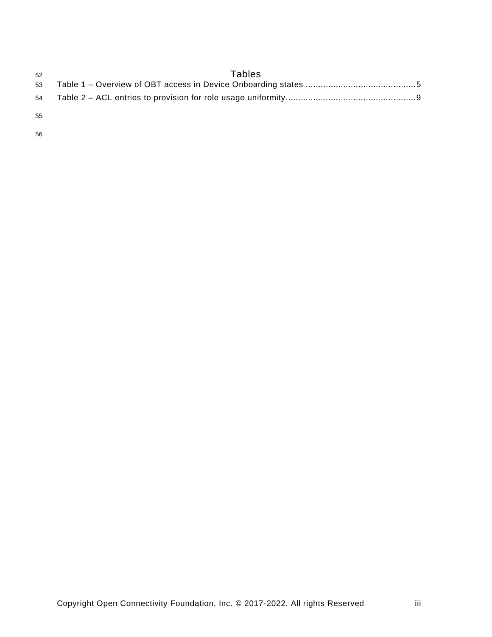| 52 | Tables |
|----|--------|
| 53 |        |
| 54 |        |
| 55 |        |
| 56 |        |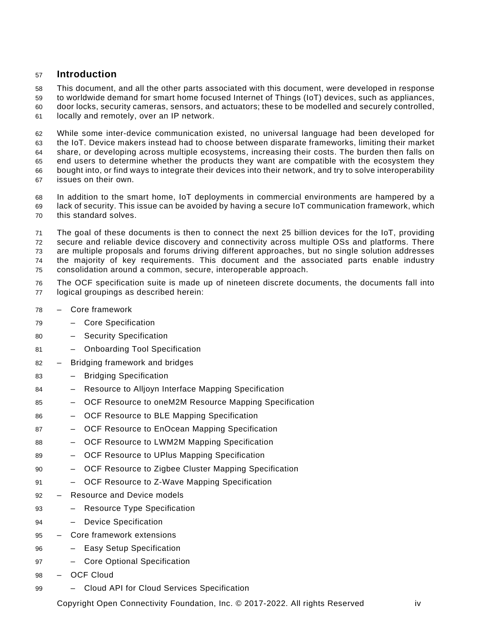# <span id="page-4-0"></span>**Introduction**

This document, and all the other parts associated with this document, were developed in response

 to worldwide demand for smart home focused Internet of Things (IoT) devices, such as appliances, door locks, security cameras, sensors, and actuators; these to be modelled and securely controlled,

locally and remotely, over an IP network.

 While some inter-device communication existed, no universal language had been developed for the IoT. Device makers instead had to choose between disparate frameworks, limiting their market share, or developing across multiple ecosystems, increasing their costs. The burden then falls on end users to determine whether the products they want are compatible with the ecosystem they bought into, or find ways to integrate their devices into their network, and try to solve interoperability issues on their own.

 In addition to the smart home, IoT deployments in commercial environments are hampered by a lack of security. This issue can be avoided by having a secure IoT communication framework, which this standard solves.

 The goal of these documents is then to connect the next 25 billion devices for the IoT, providing secure and reliable device discovery and connectivity across multiple OSs and platforms. There are multiple proposals and forums driving different approaches, but no single solution addresses the majority of key requirements. This document and the associated parts enable industry consolidation around a common, secure, interoperable approach.

- The OCF specification suite is made up of nineteen discrete documents, the documents fall into logical groupings as described herein:
- Core framework
- Core Specification
- Security Specification
- Onboarding Tool Specification
- Bridging framework and bridges
- Bridging Specification
- Resource to Alljoyn Interface Mapping Specification
- OCF Resource to oneM2M Resource Mapping Specification
- OCF Resource to BLE Mapping Specification
- OCF Resource to EnOcean Mapping Specification
- OCF Resource to LWM2M Mapping Specification
- OCF Resource to UPlus Mapping Specification
- OCF Resource to Zigbee Cluster Mapping Specification
- OCF Resource to Z-Wave Mapping Specification
- Resource and Device models
- Resource Type Specification
- Device Specification
- Core framework extensions
- Easy Setup Specification
- Core Optional Specification
- OCF Cloud
- Cloud API for Cloud Services Specification

Copyright Open Connectivity Foundation, Inc. © 2017-2022. All rights Reserved iv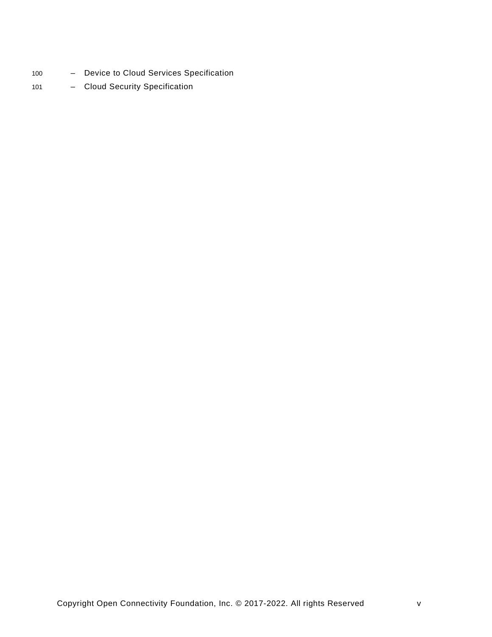- 100 Device to Cloud Services Specification
- 101 Cloud Security Specification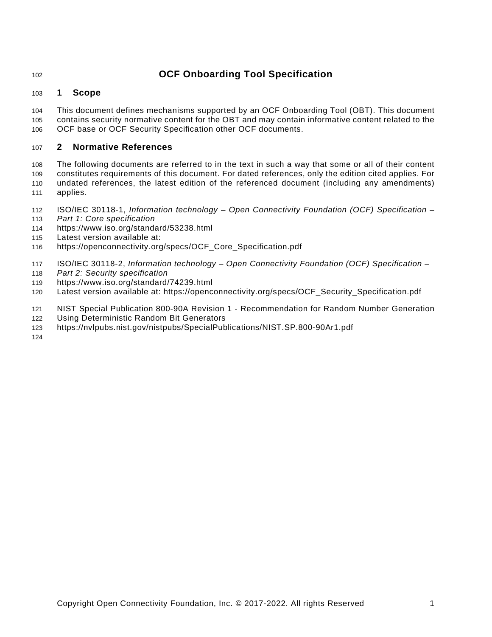# **OCF Onboarding Tool Specification**

# <span id="page-6-0"></span>**1 Scope**

 This document defines mechanisms supported by an OCF Onboarding Tool (OBT). This document contains security normative content for the OBT and may contain informative content related to the OCF base or OCF Security Specification other OCF documents.

# <span id="page-6-1"></span>**2 Normative References**

 The following documents are referred to in the text in such a way that some or all of their content constitutes requirements of this document. For dated references, only the edition cited applies. For undated references, the latest edition of the referenced document (including any amendments) applies.

- <span id="page-6-2"></span>ISO/IEC 30118-1, *Information technology* – *Open Connectivity Foundation (OCF) Specification* –
- *Part 1: Core specification*
- <https://www.iso.org/standard/53238.html>
- Latest version available at:
- [https://openconnectivity.org/specs/OCF\\_Core\\_Specification.pdf](https://openconnectivity.org/specs/OCF_Core_Specification.pdf)
- <span id="page-6-3"></span>ISO/IEC 30118-2, *Information technology – Open Connectivity Foundation (OCF) Specification –*
- *Part 2: Security specification*
- <https://www.iso.org/standard/74239.html>
- Latest version available at: [https://openconnectivity.org/specs/OCF\\_Security\\_Specification.pdf](https://openconnectivity.org/specs/OCF_Security_Specification.pdf)
- <span id="page-6-4"></span>NIST Special Publication 800-90A Revision 1 - Recommendation for Random Number Generation
- Using Deterministic Random Bit Generators
- <https://nvlpubs.nist.gov/nistpubs/SpecialPublications/NIST.SP.800-90Ar1.pdf>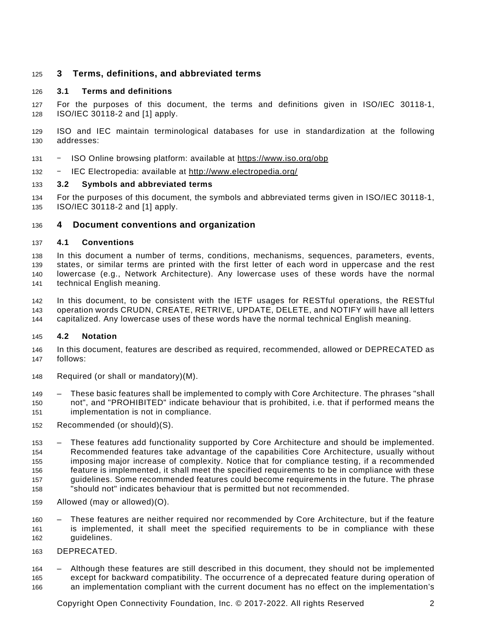# <span id="page-7-0"></span>**3 Terms, definitions, and abbreviated terms**

# <span id="page-7-1"></span>**3.1 Terms and definitions**

 For the purposes of this document, the terms and definitions given in [ISO/IEC 30118-1,](#page-6-2) ISO/IEC [30118-2](#page-6-3) and [\[1\]](#page-19-2) apply.

 ISO and IEC maintain terminological databases for use in standardization at the following addresses:

- ‒ ISO Online browsing platform: available at<https://www.iso.org/obp>
- ‒ IEC Electropedia: available at http://www.electropedia.org/

#### <span id="page-7-2"></span>**3.2 Symbols and abbreviated terms**

 For the purposes of this document, the symbols and abbreviated terms given in [ISO/IEC 30118-1,](#page-6-2) ISO/IEC [30118-2](#page-6-3) and [\[1\]](#page-19-2) apply.

#### <span id="page-7-3"></span>**4 Document conventions and organization**

#### <span id="page-7-4"></span>**4.1 Conventions**

 In this document a number of terms, conditions, mechanisms, sequences, parameters, events, states, or similar terms are printed with the first letter of each word in uppercase and the rest lowercase (e.g., Network Architecture). Any lowercase uses of these words have the normal technical English meaning.

 In this document, to be consistent with the IETF usages for RESTful operations, the RESTful operation words CRUDN, CREATE, RETRIVE, UPDATE, DELETE, and NOTIFY will have all letters capitalized. Any lowercase uses of these words have the normal technical English meaning.

#### <span id="page-7-5"></span>**4.2 Notation**

- In this document, features are described as required, recommended, allowed or DEPRECATED as follows:
- Required (or shall or mandatory)(M).
- These basic features shall be implemented to comply with Core Architecture. The phrases "shall not", and "PROHIBITED" indicate behaviour that is prohibited, i.e. that if performed means the implementation is not in compliance.
- Recommended (or should)(S).
- These features add functionality supported by Core Architecture and should be implemented. Recommended features take advantage of the capabilities Core Architecture, usually without imposing major increase of complexity. Notice that for compliance testing, if a recommended feature is implemented, it shall meet the specified requirements to be in compliance with these guidelines. Some recommended features could become requirements in the future. The phrase "should not" indicates behaviour that is permitted but not recommended.
- 
- Allowed (may or allowed)(O).
- These features are neither required nor recommended by Core Architecture, but if the feature is implemented, it shall meet the specified requirements to be in compliance with these guidelines.
- DEPRECATED.

 – Although these features are still described in this document, they should not be implemented except for backward compatibility. The occurrence of a deprecated feature during operation of

an implementation compliant with the current document has no effect on the implementation's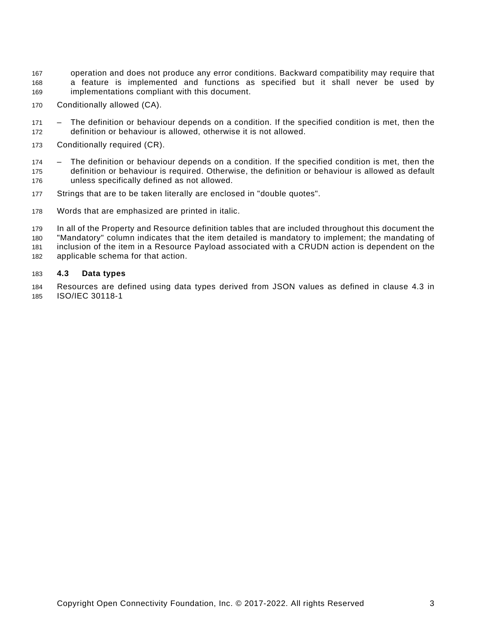- operation and does not produce any error conditions. Backward compatibility may require that a feature is implemented and functions as specified but it shall never be used by implementations compliant with this document.
- Conditionally allowed (CA).
- The definition or behaviour depends on a condition. If the specified condition is met, then the definition or behaviour is allowed, otherwise it is not allowed.
- Conditionally required (CR).
- The definition or behaviour depends on a condition. If the specified condition is met, then the definition or behaviour is required. Otherwise, the definition or behaviour is allowed as default unless specifically defined as not allowed.
- Strings that are to be taken literally are enclosed in "double quotes".
- Words that are emphasized are printed in italic.

 In all of the Property and Resource definition tables that are included throughout this document the "Mandatory" column indicates that the item detailed is mandatory to implement; the mandating of inclusion of the item in a Resource Payload associated with a CRUDN action is dependent on the applicable schema for that action.

#### <span id="page-8-0"></span>**4.3 Data types**

 Resources are defined using data types derived from JSON values as defined in clause 4.3 in [ISO/IEC 30118-1](#page-6-2)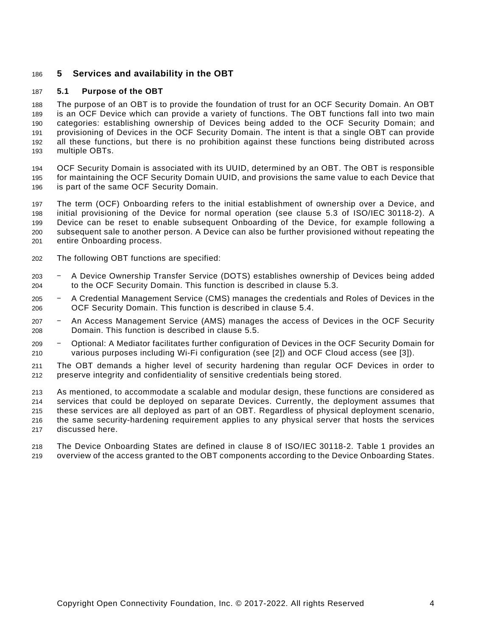# <span id="page-9-0"></span>**5 Services and availability in the OBT**

#### <span id="page-9-1"></span>**5.1 Purpose of the OBT**

 The purpose of an OBT is to provide the foundation of trust for an OCF Security Domain. An OBT is an OCF Device which can provide a variety of functions. The OBT functions fall into two main categories: establishing ownership of Devices being added to the OCF Security Domain; and provisioning of Devices in the OCF Security Domain. The intent is that a single OBT can provide all these functions, but there is no prohibition against these functions being distributed across multiple OBTs.

 OCF Security Domain is associated with its UUID, determined by an OBT. The OBT is responsible for maintaining the OCF Security Domain UUID, and provisions the same value to each Device that is part of the same OCF Security Domain.

 The term (OCF) Onboarding refers to the initial establishment of ownership over a Device, and initial provisioning of the Device for normal operation (see clause 5.3 of ISO/IEC [30118-2\)](#page-6-3). A Device can be reset to enable subsequent Onboarding of the Device, for example following a subsequent sale to another person. A Device can also be further provisioned without repeating the entire Onboarding process.

- The following OBT functions are specified:
- ‒ A Device Ownership Transfer Service (DOTS) establishes ownership of Devices being added to the OCF Security Domain. This function is described in clause [5.3.](#page-11-0)
- ‒ A Credential Management Service (CMS) manages the credentials and Roles of Devices in the OCF Security Domain. This function is described in clause [5.4.](#page-13-1)
- ‒ An Access Management Service (AMS) manages the access of Devices in the OCF Security Domain. This function is described in clause [5.5.](#page-13-2)
- ‒ Optional: A Mediator facilitates further configuration of Devices in the OCF Security Domain for various purposes including Wi-Fi configuration (see [\[2\]\)](#page-19-3) and OCF Cloud access (see [\[3\]\)](#page-19-4).
- The OBT demands a higher level of security hardening than regular OCF Devices in order to preserve integrity and confidentiality of sensitive credentials being stored.

 As mentioned, to accommodate a scalable and modular design, these functions are considered as services that could be deployed on separate Devices. Currently, the deployment assumes that these services are all deployed as part of an OBT. Regardless of physical deployment scenario, the same security-hardening requirement applies to any physical server that hosts the services discussed here.

 The Device Onboarding States are defined in clause 8 of ISO/IEC [30118-2.](#page-6-3) [Table](#page-10-1) 1 provides an overview of the access granted to the OBT components according to the Device Onboarding States.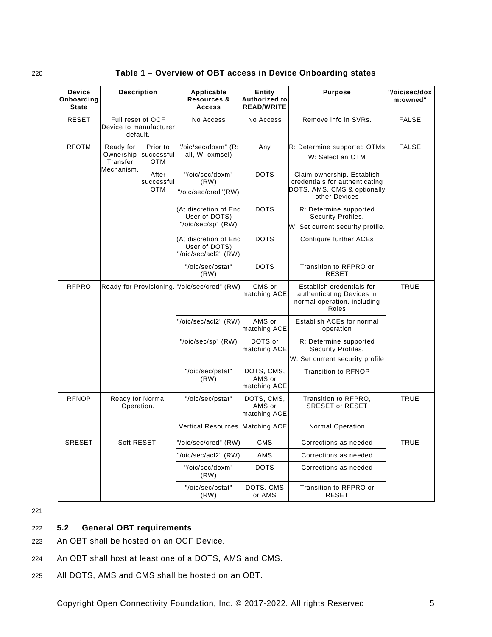| 220 | Table 1 – Overview of OBT access in Device Onboarding states |
|-----|--------------------------------------------------------------|
|-----|--------------------------------------------------------------|

<span id="page-10-1"></span>

| <b>Device</b><br>Onboarding<br><b>State</b>    | <b>Description</b>                                      |                                      | Applicable<br><b>Resources &amp;</b><br><b>Access</b>         | Entity<br>Authorized to<br><b>READ/WRITE</b> | <b>Purpose</b>                                                                                               | "/oic/sec/dox<br>m:owned" |
|------------------------------------------------|---------------------------------------------------------|--------------------------------------|---------------------------------------------------------------|----------------------------------------------|--------------------------------------------------------------------------------------------------------------|---------------------------|
| <b>RESET</b>                                   | Full reset of OCF<br>Device to manufacturer<br>default. |                                      | No Access                                                     | No Access                                    | Remove info in SVRs.                                                                                         | <b>FALSE</b>              |
| <b>RFOTM</b>                                   | Ready for<br>Ownership<br>Transfer                      | Prior to<br>successful<br><b>OTM</b> | "/oic/sec/doxm" (R:<br>all, W: oxmsel)                        | Any                                          | R: Determine supported OTMs<br>W: Select an OTM                                                              | <b>FALSE</b>              |
|                                                | Mechanism.                                              | After<br>successful<br><b>OTM</b>    | "/oic/sec/doxm"<br>(RW)<br>"/oic/sec/cred"(RW)                | <b>DOTS</b>                                  | Claim ownership. Establish<br>credentials for authenticating<br>DOTS, AMS, CMS & optionally<br>other Devices |                           |
|                                                |                                                         |                                      | (At discretion of End<br>User of DOTS)<br>"/oic/sec/sp" (RW)  | <b>DOTS</b>                                  | R: Determine supported<br>Security Profiles.<br>W: Set current security profile.                             |                           |
|                                                |                                                         |                                      | At discretion of End<br>User of DOTS)<br>'/oic/sec/acl2" (RW) | <b>DOTS</b>                                  | Configure further ACEs                                                                                       |                           |
|                                                |                                                         |                                      | "/oic/sec/pstat"<br>(RW)                                      | <b>DOTS</b>                                  | Transition to RFPRO or<br><b>RESET</b>                                                                       |                           |
| <b>RFPRO</b>                                   | Ready for Provisioning.                                 |                                      | "/oic/sec/cred" (RW)                                          | CMS or<br>matching ACE                       | Establish credentials for<br>authenticating Devices in<br>normal operation, including<br>Roles               | <b>TRUE</b>               |
|                                                |                                                         |                                      | "/oic/sec/acl2" (RW)                                          | AMS or<br>matching ACE                       | Establish ACEs for normal<br>operation                                                                       |                           |
|                                                |                                                         |                                      | "/oic/sec/sp" (RW)                                            | DOTS or<br>matching ACE                      | R: Determine supported<br>Security Profiles.<br>W: Set current security profile                              |                           |
|                                                |                                                         |                                      | "/oic/sec/pstat"<br>(RW)                                      | DOTS, CMS,<br>AMS or<br>matching ACE         | <b>Transition to RFNOP</b>                                                                                   |                           |
| <b>RFNOP</b><br>Ready for Normal<br>Operation. |                                                         | "/oic/sec/pstat"                     | DOTS, CMS,<br>AMS or<br>matching ACE                          | Transition to RFPRO,<br>SRESET or RESET      | <b>TRUE</b>                                                                                                  |                           |
|                                                |                                                         |                                      | <b>Vertical Resources</b>                                     | <b>Matching ACE</b>                          | <b>Normal Operation</b>                                                                                      |                           |
| <b>SRESET</b>                                  | Soft RESET.                                             |                                      | '/oic/sec/cred" (RW)                                          | <b>CMS</b>                                   | Corrections as needed                                                                                        | <b>TRUE</b>               |
|                                                |                                                         |                                      | '/oic/sec/acl2" (RW)                                          | AMS                                          | Corrections as needed                                                                                        |                           |
|                                                |                                                         |                                      | "/oic/sec/doxm"<br>(RW)                                       | <b>DOTS</b>                                  | Corrections as needed                                                                                        |                           |
|                                                |                                                         |                                      | "/oic/sec/pstat"<br>(RW)                                      | DOTS, CMS<br>or AMS                          | Transition to RFPRO or<br><b>RESET</b>                                                                       |                           |

221

# <span id="page-10-0"></span>222 **5.2 General OBT requirements**

- 223 An OBT shall be hosted on an OCF Device.
- 224 An OBT shall host at least one of a DOTS, AMS and CMS.
- 225 All DOTS, AMS and CMS shall be hosted on an OBT.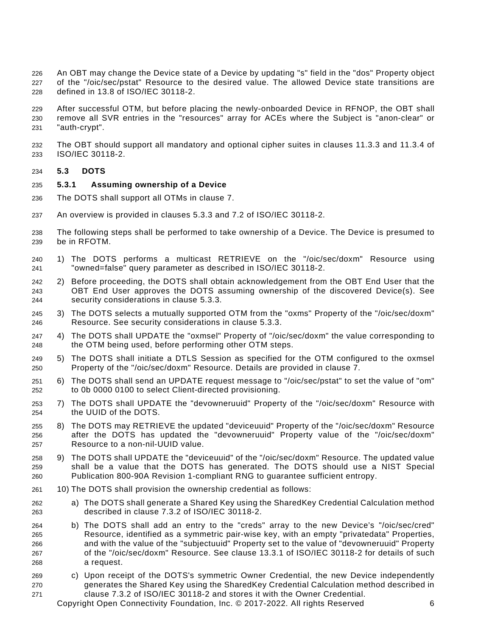An OBT may change the Device state of a Device by updating "s" field in the "dos" Property object of the "/oic/sec/pstat" Resource to the desired value. The allowed Device state transitions are defined in 13.8 of ISO/IEC [30118-2.](#page-6-3)

 After successful OTM, but before placing the newly-onboarded Device in RFNOP, the OBT shall remove all SVR entries in the "resources" array for ACEs where the Subject is "anon-clear" or "auth-crypt".

 The OBT should support all mandatory and optional cipher suites in clauses 11.3.3 and 11.3.4 of ISO/IEC [30118-2.](#page-6-3)

#### <span id="page-11-0"></span>**5.3 DOTS**

#### <span id="page-11-1"></span>**5.3.1 Assuming ownership of a Device**

- The DOTS shall support all OTMs in clause [7.](#page-18-0)
- An overview is provided in clauses 5.3.3 and 7.2 of ISO/IEC [30118-2.](#page-6-3)
- The following steps shall be performed to take ownership of a Device. The Device is presumed to be in RFOTM.
- 1) The DOTS performs a multicast RETRIEVE on the "/oic/sec/doxm" Resource using "owned=false" query parameter as described in ISO/IEC [30118-2.](#page-6-3)
- 2) Before proceeding, the DOTS shall obtain acknowledgement from the OBT End User that the OBT End User approves the DOTS assuming ownership of the discovered Device(s). See security considerations in clause [5.3.3.](#page-13-0)
- 3) The DOTS selects a mutually supported OTM from the "oxms" Property of the "/oic/sec/doxm" Resource. See security considerations in clause [5.3.3.](#page-13-0)
- 4) The DOTS shall UPDATE the "oxmsel" Property of "/oic/sec/doxm" the value corresponding to the OTM being used, before performing other OTM steps.
- 5) The DOTS shall initiate a DTLS Session as specified for the OTM configured to the oxmsel Property of the "/oic/sec/doxm" Resource. Details are provided in clause [7.](#page-18-0)
- 6) The DOTS shall send an UPDATE request message to "/oic/sec/pstat" to set the value of "om" to 0b 0000 0100 to select Client-directed provisioning.
- 7) The DOTS shall UPDATE the "devowneruuid" Property of the "/oic/sec/doxm" Resource with the UUID of the DOTS.
- 8) The DOTS may RETRIEVE the updated "deviceuuid" Property of the "/oic/sec/doxm" Resource after the DOTS has updated the "devowneruuid" Property value of the "/oic/sec/doxm" Resource to a non-nil-UUID value.
- 9) The DOTS shall UPDATE the "deviceuuid" of the "/oic/sec/doxm" Resource. The updated value shall be a value that the DOTS has generated. The DOTS should use a [NIST Special](#page-6-4)  [Publication 800-90A Revision 1-](#page-6-4)compliant RNG to guarantee sufficient entropy.
- 10) The DOTS shall provision the ownership credential as follows:
- a) The DOTS shall generate a Shared Key using the SharedKey Credential Calculation method described in clause 7.3.2 of ISO/IEC [30118-2.](#page-6-3)
- b) The DOTS shall add an entry to the "creds" array to the new Device's "/oic/sec/cred" Resource, identified as a symmetric pair-wise key, with an empty "privatedata" Properties, and with the value of the "subjectuuid" Property set to the value of "devowneruuid" Property of the "/oic/sec/doxm" Resource. See clause 13.3.1 of [ISO/IEC](#page-6-3) 30118-2 for details of such a request.
- c) Upon receipt of the DOTS's symmetric Owner Credential, the new Device independently generates the Shared Key using the SharedKey Credential Calculation method described in clause 7.3.2 of [ISO/IEC](#page-6-3) 30118-2 and stores it with the Owner Credential.

Copyright Open Connectivity Foundation, Inc. © 2017-2022. All rights Reserved 6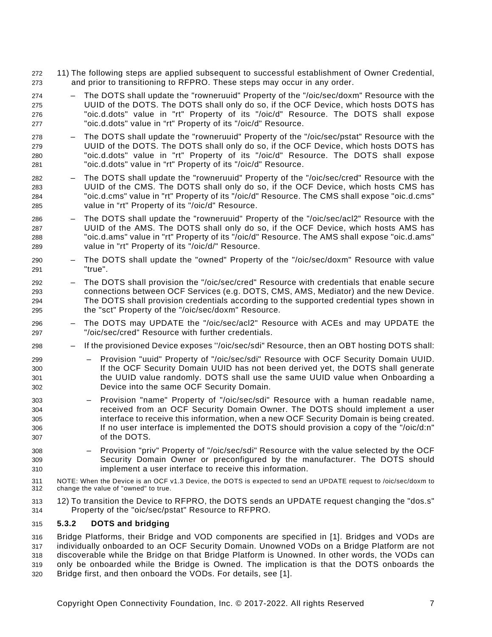- 11) The following steps are applied subsequent to successful establishment of Owner Credential, and prior to transitioning to RFPRO. These steps may occur in any order.
- The DOTS shall update the "rowneruuid" Property of the "/oic/sec/doxm" Resource with the UUID of the DOTS. The DOTS shall only do so, if the OCF Device, which hosts DOTS has "oic.d.dots" value in "rt" Property of its "/oic/d" Resource. The DOTS shall expose "oic.d.dots" value in "rt" Property of its "/oic/d" Resource.
- The DOTS shall update the "rowneruuid" Property of the "/oic/sec/pstat" Resource with the UUID of the DOTS. The DOTS shall only do so, if the OCF Device, which hosts DOTS has "oic.d.dots" value in "rt" Property of its "/oic/d" Resource. The DOTS shall expose "oic.d.dots" value in "rt" Property of its "/oic/d" Resource.
- The DOTS shall update the "rowneruuid" Property of the "/oic/sec/cred" Resource with the UUID of the CMS. The DOTS shall only do so, if the OCF Device, which hosts CMS has "oic.d.cms" value in "rt" Property of its "/oic/d" Resource. The CMS shall expose "oic.d.cms" value in "rt" Property of its "/oic/d" Resource.
- The DOTS shall update the "rowneruuid" Property of the "/oic/sec/acl2" Resource with the UUID of the AMS. The DOTS shall only do so, if the OCF Device, which hosts AMS has "oic.d.ams" value in "rt" Property of its "/oic/d" Resource. The AMS shall expose "oic.d.ams" value in "rt" Property of its "/oic/d/" Resource.
- The DOTS shall update the "owned" Property of the "/oic/sec/doxm" Resource with value "true".
- The DOTS shall provision the "/oic/sec/cred" Resource with credentials that enable secure connections between OCF Services (e.g. DOTS, CMS, AMS, Mediator) and the new Device. The DOTS shall provision credentials according to the supported credential types shown in the "sct" Property of the "/oic/sec/doxm" Resource.
- The DOTS may UPDATE the "/oic/sec/acl2" Resource with ACEs and may UPDATE the "/oic/sec/cred" Resource with further credentials.
- If the provisioned Device exposes ''/oic/sec/sdi" Resource, then an OBT hosting DOTS shall:
- Provision "uuid" Property of "/oic/sec/sdi" Resource with OCF Security Domain UUID. If the OCF Security Domain UUID has not been derived yet, the DOTS shall generate the UUID value randomly. DOTS shall use the same UUID value when Onboarding a Device into the same OCF Security Domain.
- Provision "name" Property of "/oic/sec/sdi" Resource with a human readable name, received from an OCF Security Domain Owner. The DOTS should implement a user interface to receive this information, when a new OCF Security Domain is being created. 306 If no user interface is implemented the DOTS should provision a copy of the "/oic/d:n" of the DOTS.
- Provision "priv" Property of "/oic/sec/sdi" Resource with the value selected by the OCF Security Domain Owner or preconfigured by the manufacturer. The DOTS should implement a user interface to receive this information.
- NOTE: When the Device is an OCF v1.3 Device, the DOTS is expected to send an UPDATE request to /oic/sec/doxm to change the value of "owned" to true.
- 12) To transition the Device to RFPRO, the DOTS sends an UPDATE request changing the "dos.s" Property of the "oic/sec/pstat" Resource to RFPRO.

#### <span id="page-12-0"></span>**5.3.2 DOTS and bridging**

 Bridge Platforms, their Bridge and VOD components are specified in [\[1\].](#page-19-2) Bridges and VODs are individually onboarded to an OCF Security Domain. Unowned VODs on a Bridge Platform are not discoverable while the Bridge on that Bridge Platform is Unowned. In other words, the VODs can only be onboarded while the Bridge is Owned. The implication is that the DOTS onboards the Bridge first, and then onboard the VODs. For details, see [\[1\].](#page-19-2)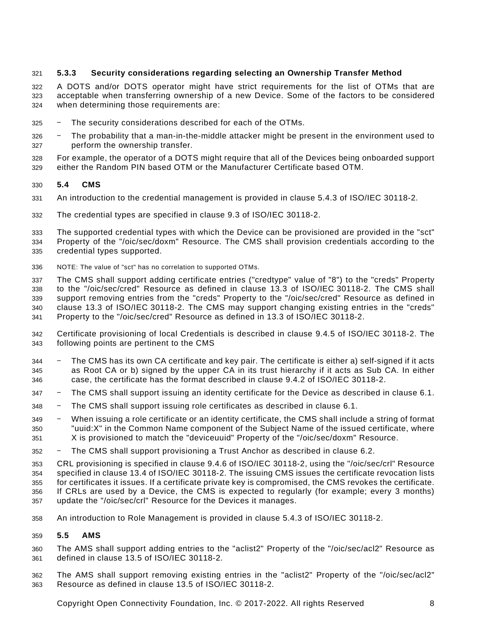# <span id="page-13-0"></span>**5.3.3 Security considerations regarding selecting an Ownership Transfer Method**

 A DOTS and/or DOTS operator might have strict requirements for the list of OTMs that are acceptable when transferring ownership of a new Device. Some of the factors to be considered when determining those requirements are:

- ‒ The security considerations described for each of the OTMs.
- ‒ The probability that a man-in-the-middle attacker might be present in the environment used to perform the ownership transfer.

 For example, the operator of a DOTS might require that all of the Devices being onboarded support either the Random PIN based OTM or the Manufacturer Certificate based OTM.

#### <span id="page-13-1"></span>**5.4 CMS**

- An introduction to the credential management is provided in clause 5.4.3 of ISO/IEC [30118-2.](#page-6-3)
- The credential types are specified in clause 9.3 of ISO/IEC [30118-2.](#page-6-3)

 The supported credential types with which the Device can be provisioned are provided in the "sct" Property of the "/oic/sec/doxm" Resource. The CMS shall provision credentials according to the credential types supported.

NOTE: The value of "sct" has no correlation to supported OTMs.

 The CMS shall support adding certificate entries ("credtype" value of "8") to the "creds" Property to the "/oic/sec/cred" Resource as defined in clause 13.3 of ISO/IEC [30118-2.](#page-6-3) The CMS shall support removing entries from the "creds" Property to the "/oic/sec/cred" Resource as defined in clause 13.3 of ISO/IEC [30118-2.](#page-6-3) The CMS may support changing existing entries in the "creds" Property to the "/oic/sec/cred" Resource as defined in 13.3 of ISO/IEC [30118-2.](#page-6-3)

 Certificate provisioning of local Credentials is described in clause 9.4.5 of ISO/IEC [30118-2.](#page-6-3) The following points are pertinent to the CMS

- ‒ The CMS has its own CA certificate and key pair. The certificate is either a) self-signed if it acts as Root CA or b) signed by the upper CA in its trust hierarchy if it acts as Sub CA. In either case, the certificate has the format described in clause 9.4.2 of ISO/IEC [30118-2.](#page-6-3)
- ‒ The CMS shall support issuing an identity certificate for the Device as described in clause [6.1.](#page-14-1)
- ‒ The CMS shall support issuing role certificates as described in clause [6.1.](#page-14-1)
- ‒ When issuing a role certificate or an identity certificate, the CMS shall include a string of format "uuid:X" in the Common Name component of the Subject Name of the issued certificate, where X is provisioned to match the "deviceuuid" Property of the "/oic/sec/doxm" Resource.
- ‒ The CMS shall support provisioning a Trust Anchor as described in clause [6.2.](#page-15-0)

CRL provisioning is specified in clause 9.4.6 of ISO/IEC [30118-2,](#page-6-3) using the "/oic/sec/crl" Resource

specified in clause 13.4 of ISO/IEC [30118-2.](#page-6-3) The issuing CMS issues the certificate revocation lists

for certificates it issues. If a certificate private key is compromised, the CMS revokes the certificate.

 If CRLs are used by a Device, the CMS is expected to regularly (for example; every 3 months) update the "/oic/sec/crl" Resource for the Devices it manages.

An introduction to Role Management is provided in clause 5.4.3 of ISO/IEC [30118-2.](#page-6-3)

#### <span id="page-13-2"></span>**5.5 AMS**

- The AMS shall support adding entries to the "aclist2" Property of the "/oic/sec/acl2" Resource as defined in clause 13.5 of ISO/IEC [30118-2.](#page-6-3)
- The AMS shall support removing existing entries in the "aclist2" Property of the "/oic/sec/acl2" Resource as defined in clause 13.5 of ISO/IEC [30118-2.](#page-6-3)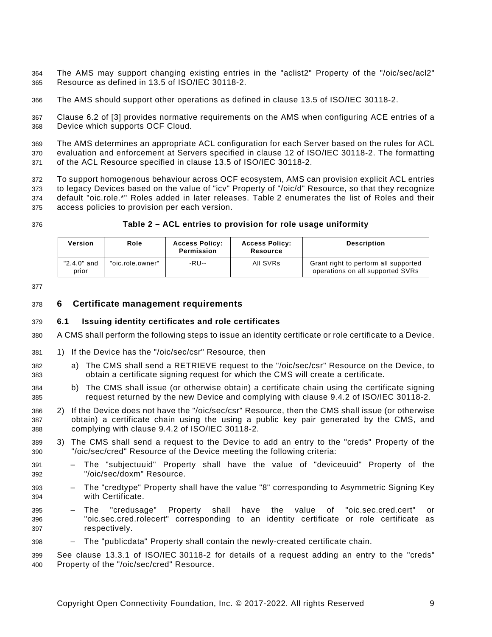The AMS may support changing existing entries in the "aclist2" Property of the "/oic/sec/acl2" Resource as defined in 13.5 of [ISO/IEC](#page-6-3) 30118-2.

The AMS should support other operations as defined in clause 13.5 of ISO/IEC [30118-2.](#page-6-3)

 Clause 6.2 of [\[3\]](#page-19-4) provides normative requirements on the AMS when configuring ACE entries of a Device which supports OCF Cloud.

 The AMS determines an appropriate ACL configuration for each Server based on the rules for ACL evaluation and enforcement at Servers specified in clause 12 of ISO/IEC [30118-2.](#page-6-3) The formatting of the ACL Resource specified in clause 13.5 of [ISO/IEC](#page-6-3) 30118-2.

 To support homogenous behaviour across OCF ecosystem, AMS can provision explicit ACL entries to legacy Devices based on the value of "icv" Property of "/oic/d" Resource, so that they recognize default "oic.role.\*" Roles added in later releases. [Table](#page-14-2) 2 enumerates the list of Roles and their access policies to provision per each version.

#### **Table 2 – ACL entries to provision for role usage uniformity**

<span id="page-14-2"></span>

| Version              | Role             | <b>Access Policy:</b><br>Permission | <b>Access Policy:</b><br>Resource | <b>Description</b>                                                       |
|----------------------|------------------|-------------------------------------|-----------------------------------|--------------------------------------------------------------------------|
| "2.4.0" and<br>prior | "oic.role.owner" | -RU--                               | All SVRs                          | Grant right to perform all supported<br>operations on all supported SVRs |

#### <span id="page-14-0"></span>**6 Certificate management requirements**

#### <span id="page-14-1"></span>**6.1 Issuing identity certificates and role certificates**

- A CMS shall perform the following steps to issue an identity certificate or role certificate to a Device.
- 1) If the Device has the "/oic/sec/csr" Resource, then
- a) The CMS shall send a RETRIEVE request to the "/oic/sec/csr" Resource on the Device, to obtain a certificate signing request for which the CMS will create a certificate.
- b) The CMS shall issue (or otherwise obtain) a certificate chain using the certificate signing request returned by the new Device and complying with clause 9.4.2 of ISO/IEC [30118-2.](#page-6-3)
- 2) If the Device does not have the "/oic/sec/csr" Resource, then the CMS shall issue (or otherwise obtain) a certificate chain using the using a public key pair generated by the CMS, and complying with clause 9.4.2 of ISO/IEC [30118-2.](#page-6-3)
- 3) The CMS shall send a request to the Device to add an entry to the "creds" Property of the "/oic/sec/cred" Resource of the Device meeting the following criteria:
- The "subjectuuid" Property shall have the value of "deviceuuid" Property of the "/oic/sec/doxm" Resource.
- The "credtype" Property shall have the value "8" corresponding to Asymmetric Signing Key with Certificate.
- The "credusage" Property shall have the value of "oic.sec.cred.cert" or "oic.sec.cred.rolecert" corresponding to an identity certificate or role certificate as respectively.
- The "publicdata" Property shall contain the newly-created certificate chain.

 See clause 13.3.1 of [ISO/IEC](#page-6-3) 30118-2 for details of a request adding an entry to the "creds" Property of the "/oic/sec/cred" Resource.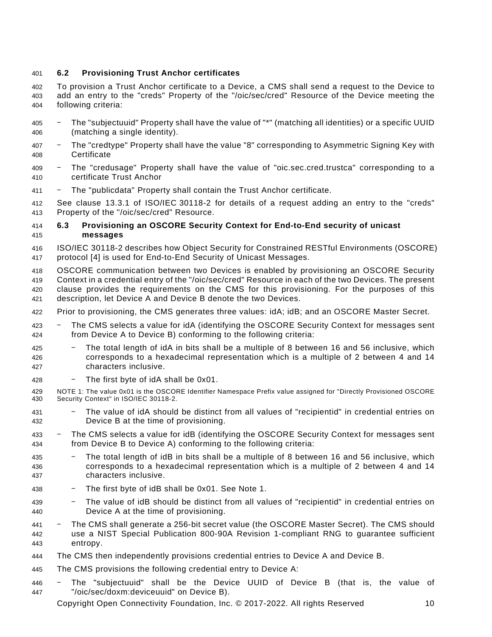# <span id="page-15-0"></span>**6.2 Provisioning Trust Anchor certificates**

 To provision a Trust Anchor certificate to a Device, a CMS shall send a request to the Device to add an entry to the "creds" Property of the "/oic/sec/cred" Resource of the Device meeting the following criteria:

- ‒ The "subjectuuid" Property shall have the value of "\*" (matching all identities) or a specific UUID (matching a single identity).
- ‒ The "credtype" Property shall have the value "8" corresponding to Asymmetric Signing Key with Certificate
- ‒ The "credusage" Property shall have the value of "oic.sec.cred.trustca" corresponding to a certificate Trust Anchor
- ‒ The "publicdata" Property shall contain the Trust Anchor certificate.

 See clause 13.3.1 of [ISO/IEC](#page-6-3) 30118-2 for details of a request adding an entry to the "creds" Property of the "/oic/sec/cred" Resource.

#### <span id="page-15-1"></span> **6.3 Provisioning an OSCORE Security Context for End-to-End security of unicast messages**

- ISO/IEC [30118-2](#page-6-3) describes how Object Security for Constrained RESTful Environments (OSCORE) protocol [\[4\]](#page-19-5) is used for End-to-End Security of Unicast Messages.
- OSCORE communication between two Devices is enabled by provisioning an OSCORE Security Context in a credential entry of the "/oic/sec/cred" Resource in each of the two Devices. The present clause provides the requirements on the CMS for this provisioning. For the purposes of this description, let Device A and Device B denote the two Devices.
- Prior to provisioning, the CMS generates three values: idA; idB; and an OSCORE Master Secret.
- 423 The CMS selects a value for idA (identifying the OSCORE Security Context for messages sent from Device A to Device B) conforming to the following criteria:
- ‒ The total length of idA in bits shall be a multiple of 8 between 16 and 56 inclusive, which corresponds to a hexadecimal representation which is a multiple of 2 between 4 and 14 characters inclusive.
- The first byte of idA shall be  $0x01$ .
- NOTE 1: The value 0x01 is the OSCORE Identifier Namespace Prefix value assigned for "Directly Provisioned OSCORE Security Context" in ISO/IEC [30118-2.](#page-6-3)
- ‒ The value of idA should be distinct from all values of "recipientid" in credential entries on Device B at the time of provisioning.
- 433 The CMS selects a value for idB (identifying the OSCORE Security Context for messages sent from Device B to Device A) conforming to the following criteria:
- ‒ The total length of idB in bits shall be a multiple of 8 between 16 and 56 inclusive, which corresponds to a hexadecimal representation which is a multiple of 2 between 4 and 14 characters inclusive.
- ‒ The first byte of idB shall be 0x01. See Note 1.
- ‒ The value of idB should be distinct from all values of "recipientid" in credential entries on Device A at the time of provisioning.
- ‒ The CMS shall generate a 256-bit secret value (the OSCORE Master Secret). The CMS should use a [NIST Special Publication 800-90A Revision 1-](#page-6-4)compliant RNG to guarantee sufficient entropy.
- The CMS then independently provisions credential entries to Device A and Device B.
- The CMS provisions the following credential entry to Device A:
- ‒ The "subjectuuid" shall be the Device UUID of Device B (that is, the value of "/oic/sec/doxm:deviceuuid" on Device B).

Copyright Open Connectivity Foundation, Inc. © 2017-2022. All rights Reserved 10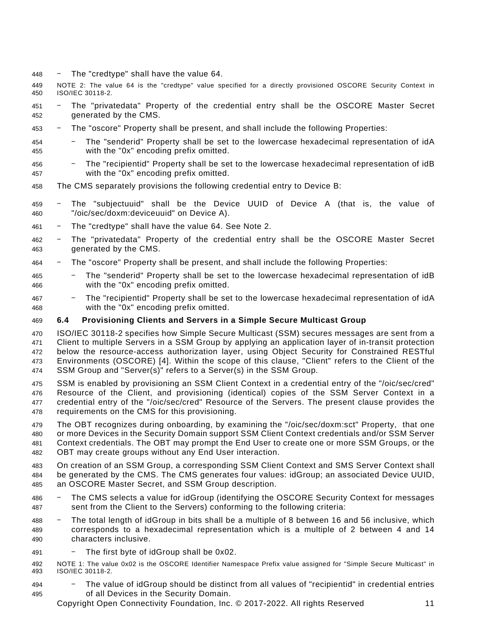- $448 \text{The "creditype" shall have the value 64.}$
- NOTE 2: The value 64 is the "credtype" value specified for a directly provisioned OSCORE Security Context in ISO/IEC [30118-2.](#page-6-3)
- ‒ The "privatedata" Property of the credential entry shall be the OSCORE Master Secret generated by the CMS.
- ‒ The "oscore" Property shall be present, and shall include the following Properties:
- ‒ The "senderid" Property shall be set to the lowercase hexadecimal representation of idA with the "0x" encoding prefix omitted.
- ‒ The "recipientid" Property shall be set to the lowercase hexadecimal representation of idB with the "0x" encoding prefix omitted.
- The CMS separately provisions the following credential entry to Device B:
- ‒ The "subjectuuid" shall be the Device UUID of Device A (that is, the value of "/oic/sec/doxm:deviceuuid" on Device A).
- ‒ The "credtype" shall have the value 64. See Note 2.
- ‒ The "privatedata" Property of the credential entry shall be the OSCORE Master Secret generated by the CMS.
- ‒ The "oscore" Property shall be present, and shall include the following Properties:
- ‒ The "senderid" Property shall be set to the lowercase hexadecimal representation of idB with the "0x" encoding prefix omitted.
- ‒ The "recipientid" Property shall be set to the lowercase hexadecimal representation of idA with the "0x" encoding prefix omitted.

# <span id="page-16-0"></span>**6.4 Provisioning Clients and Servers in a Simple Secure Multicast Group**

 ISO/IEC [30118-2](#page-6-3) specifies how Simple Secure Multicast (SSM) secures messages are sent from a Client to multiple Servers in a SSM Group by applying an application layer of in-transit protection below the resource-access authorization layer, using Object Security for Constrained RESTful Environments (OSCORE) [\[4\].](#page-19-5) Within the scope of this clause, "Client" refers to the Client of the SSM Group and "Server(s)" refers to a Server(s) in the SSM Group.

- SSM is enabled by provisioning an SSM Client Context in a credential entry of the "/oic/sec/cred" Resource of the Client, and provisioning (identical) copies of the SSM Server Context in a credential entry of the "/oic/sec/cred" Resource of the Servers. The present clause provides the requirements on the CMS for this provisioning.
- The OBT recognizes during onboarding, by examining the "/oic/sec/doxm:sct" Property, that one or more Devices in the Security Domain support SSM Client Context credentials and/or SSM Server Context credentials. The OBT may prompt the End User to create one or more SSM Groups, or the OBT may create groups without any End User interaction.
- On creation of an SSM Group, a corresponding SSM Client Context and SMS Server Context shall be generated by the CMS. The CMS generates four values: idGroup; an associated Device UUID, an OSCORE Master Secret, and SSM Group description.
- ‒ The CMS selects a value for idGroup (identifying the OSCORE Security Context for messages sent from the Client to the Servers) conforming to the following criteria:
- ‒ The total length of idGroup in bits shall be a multiple of 8 between 16 and 56 inclusive, which corresponds to a hexadecimal representation which is a multiple of 2 between 4 and 14 characters inclusive.
- ‒ The first byte of idGroup shall be 0x02.
- NOTE 1: The value 0x02 is the OSCORE Identifier Namespace Prefix value assigned for "Simple Secure Multicast" in ISO/IEC [30118-2.](#page-6-3)
- ‒ The value of idGroup should be distinct from all values of "recipientid" in credential entries of all Devices in the Security Domain.

Copyright Open Connectivity Foundation, Inc. © 2017-2022. All rights Reserved 11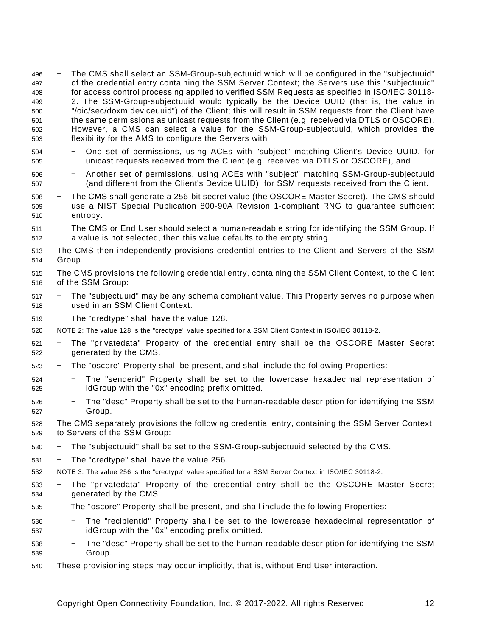- ‒ The CMS shall select an SSM-Group-subjectuuid which will be configured in the "subjectuuid" of the credential entry containing the SSM Server Context; the Servers use this "subjectuuid" for access control processing applied to verified SSM Requests as specified in [ISO/IEC](#page-6-3) 30118- [2.](#page-6-3) The SSM-Group-subjectuuid would typically be the Device UUID (that is, the value in "/oic/sec/doxm:deviceuuid") of the Client; this will result in SSM requests from the Client have the same permissions as unicast requests from the Client (e.g. received via DTLS or OSCORE). However, a CMS can select a value for the SSM-Group-subjectuuid, which provides the flexibility for the AMS to configure the Servers with
- ‒ One set of permissions, using ACEs with "subject" matching Client's Device UUID, for unicast requests received from the Client (e.g. received via DTLS or OSCORE), and
- ‒ Another set of permissions, using ACEs with "subject" matching SSM-Group-subjectuuid (and different from the Client's Device UUID), for SSM requests received from the Client.
- ‒ The CMS shall generate a 256-bit secret value (the OSCORE Master Secret). The CMS should use a [NIST Special Publication 800-90A Revision 1-](#page-6-4)compliant RNG to guarantee sufficient entropy.
- 511 The CMS or End User should select a human-readable string for identifying the SSM Group. If a value is not selected, then this value defaults to the empty string.
- The CMS then independently provisions credential entries to the Client and Servers of the SSM Group.
- The CMS provisions the following credential entry, containing the SSM Client Context, to the Client of the SSM Group:
- 517 The "subjectuuid" may be any schema compliant value. This Property serves no purpose when used in an SSM Client Context.
- ‒ The "credtype" shall have the value 128.
- NOTE 2: The value 128 is the "credtype" value specified for a SSM Client Context in ISO/IEC [30118-2.](#page-6-3)
- ‒ The "privatedata" Property of the credential entry shall be the OSCORE Master Secret generated by the CMS.
- ‒ The "oscore" Property shall be present, and shall include the following Properties:
- ‒ The "senderid" Property shall be set to the lowercase hexadecimal representation of idGroup with the "0x" encoding prefix omitted.
- ‒ The "desc" Property shall be set to the human-readable description for identifying the SSM Group.

 The CMS separately provisions the following credential entry, containing the SSM Server Context, to Servers of the SSM Group:

- 530 The "subjectuuid" shall be set to the SSM-Group-subjectuuid selected by the CMS.
- ‒ The "credtype" shall have the value 256.
- NOTE 3: The value 256 is the "credtype" value specified for a SSM Server Context in [ISO/IEC](#page-6-3) 30118-2.
- ‒ The "privatedata" Property of the credential entry shall be the OSCORE Master Secret generated by the CMS.
- The "oscore" Property shall be present, and shall include the following Properties:
- ‒ The "recipientid" Property shall be set to the lowercase hexadecimal representation of idGroup with the "0x" encoding prefix omitted.
- ‒ The "desc" Property shall be set to the human-readable description for identifying the SSM Group.
- These provisioning steps may occur implicitly, that is, without End User interaction.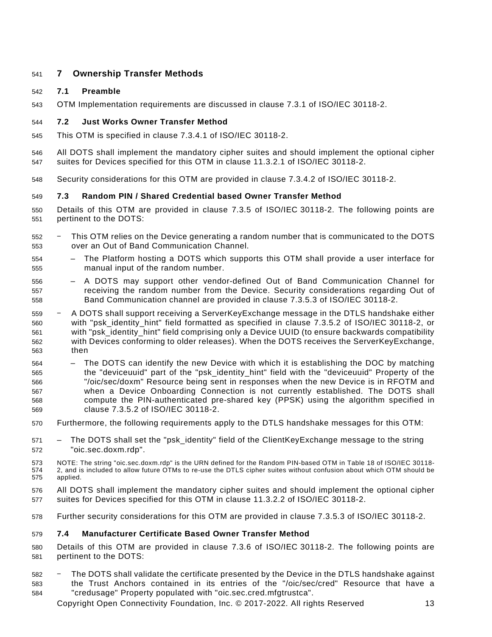# <span id="page-18-0"></span>**7 Ownership Transfer Methods**

# <span id="page-18-1"></span>**7.1 Preamble**

OTM Implementation requirements are discussed in clause 7.3.1 of ISO/IEC [30118-2.](#page-6-3)

# <span id="page-18-2"></span>**7.2 Just Works Owner Transfer Method**

- This OTM is specified in clause 7.3.4.1 of [ISO/IEC](#page-6-3) 30118-2.
- All DOTS shall implement the mandatory cipher suites and should implement the optional cipher suites for Devices specified for this OTM in clause 11.3.2.1 of ISO/IEC [30118-2.](#page-6-3)
- Security considerations for this OTM are provided in clause 7.3.4.2 of ISO/IEC [30118-2.](#page-6-3)

# <span id="page-18-3"></span>**7.3 Random PIN / Shared Credential based Owner Transfer Method**

- Details of this OTM are provided in clause 7.3.5 of ISO/IEC [30118-2.](#page-6-3) The following points are pertinent to the DOTS:
- ‒ This OTM relies on the Device generating a random number that is communicated to the DOTS over an Out of Band Communication Channel.
- The Platform hosting a DOTS which supports this OTM shall provide a user interface for manual input of the random number.
- A DOTS may support other vendor-defined Out of Band Communication Channel for receiving the random number from the Device. Security considerations regarding Out of Band Communication channel are provided in clause 7.3.5.3 of ISO/IEC [30118-2.](#page-6-3)
- ‒ A DOTS shall support receiving a ServerKeyExchange message in the DTLS handshake either with "psk\_identity\_hint" field formatted as specified in clause 7.3.5.2 of ISO/IEC [30118-2,](#page-6-3) or with "psk\_identity\_hint" field comprising only a Device UUID (to ensure backwards compatibility with Devices conforming to older releases). When the DOTS receives the ServerKeyExchange, then
- The DOTS can identify the new Device with which it is establishing the DOC by matching the "deviceuuid" part of the "psk\_identity\_hint" field with the "deviceuuid" Property of the "/oic/sec/doxm" Resource being sent in responses when the new Device is in RFOTM and when a Device Onboarding Connection is not currently established. The DOTS shall compute the PIN-authenticated pre-shared key (PPSK) using the algorithm specified in clause 7.3.5.2 of ISO/IEC [30118-2.](#page-6-3)
- Furthermore, the following requirements apply to the DTLS handshake messages for this OTM:
- 571 The DOTS shall set the "psk\_identity" field of the ClientKeyExchange message to the string "oic.sec.doxm.rdp".
- NOTE: The string "oic.sec.doxm.rdp" is the URN defined for the Random PIN-based OTM in Table 18 of [ISO/IEC](#page-6-3) 30118- [2,](#page-6-3) and is included to allow future OTMs to re-use the DTLS cipher suites without confusion about which OTM should be applied.
- All DOTS shall implement the mandatory cipher suites and should implement the optional cipher suites for Devices specified for this OTM in clause 11.3.2.2 of ISO/IEC [30118-2.](#page-6-3)
- Further security considerations for this OTM are provided in clause 7.3.5.3 of ISO/IEC [30118-2.](#page-6-3)

#### <span id="page-18-4"></span>**7.4 Manufacturer Certificate Based Owner Transfer Method**

- Details of this OTM are provided in clause 7.3.6 of ISO/IEC [30118-2.](#page-6-3) The following points are pertinent to the DOTS:
- ‒ The DOTS shall validate the certificate presented by the Device in the DTLS handshake against the Trust Anchors contained in its entries of the "/oic/sec/cred" Resource that have a "credusage" Property populated with "oic.sec.cred.mfgtrustca".
	- Copyright Open Connectivity Foundation, Inc. © 2017-2022. All rights Reserved 13